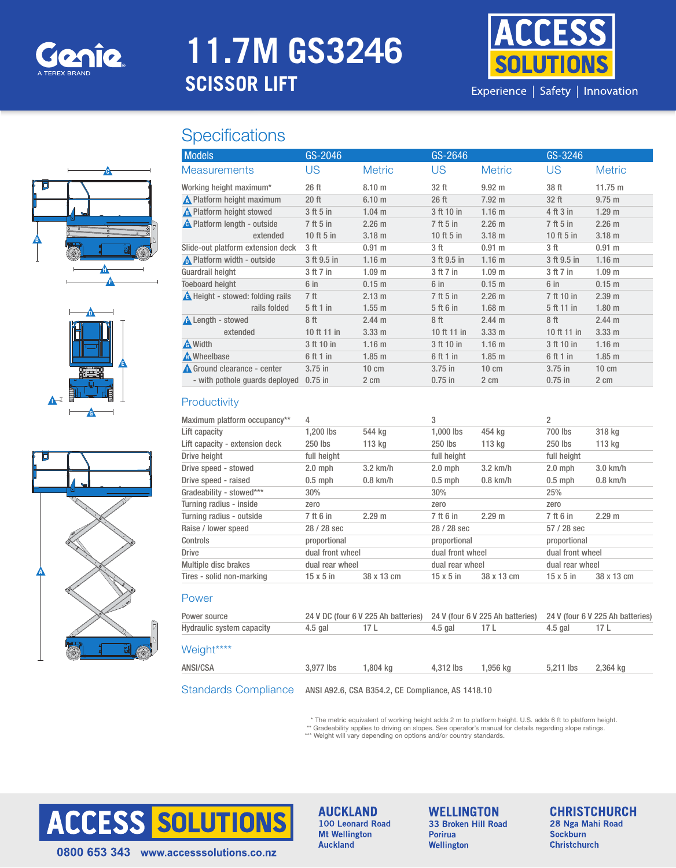

# **11.7M GS3246 SCISSOR LIFT**



Experience | Safety | Innovation

## **Specifications**







| <b>Models</b>                     | GS-2046         |                   | GS-2646      |                   | GS-3246     |                   |
|-----------------------------------|-----------------|-------------------|--------------|-------------------|-------------|-------------------|
| <b>Measurements</b>               | US              | <b>Metric</b>     | US.          | <b>Metric</b>     | US          | <b>Metric</b>     |
| Working height maximum*           | 26 ft           | 8.10 <sub>m</sub> | 32 ft        | $9.92 \; m$       | 38 ft       | 11.75 m           |
| <b>A</b> Platform height maximum  | $20$ ft         | 6.10 <sub>m</sub> | 26 ft        | $7.92 \text{ m}$  | 32 ft       | 9.75 m            |
| A Platform height stowed          | 3 ft 5 in       | $1.04$ m          | 3 ft 10 in   | 1.16 <sub>m</sub> | 4 ft 3 in   | 1.29 <sub>m</sub> |
| A Platform length - outside       | 7 ft 5 in       | 2.26 m            | 7 ft 5 in    | 2.26 m            | 7 ft 5 in   | 2.26 m            |
| extended                          | 10 ft 5 in      | 3.18 <sub>m</sub> | 10 ft $5$ in | $3.18 \text{ m}$  | 10 ft 5 in  | 3.18 <sub>m</sub> |
| Slide-out platform extension deck | 3 ft            | $0.91$ m          | 3 ft         | 0.91 m            | 3 ft        | $0.91$ m          |
| No Platform width - outside       | 3 ft 9.5 in     | 1.16 <sub>m</sub> | 3 ft 9.5 in  | 1.16 <sub>m</sub> | 3 ft 9.5 in | 1.16 <sub>m</sub> |
| Guardrail height                  | 3 ft 7 in       | 1.09 <sub>m</sub> | 3 ft 7 in    | 1.09 <sub>m</sub> | 3 ft 7 in   | 1.09 <sub>m</sub> |
| <b>Toeboard height</b>            | 6 in            | 0.15 m            | $6$ in       | 0.15 m            | 6 in        | $0.15$ m          |
| A Height - stowed: folding rails  | 7 <sup>ft</sup> | 2.13 m            | 7 ft 5 in    | 2.26 m            | 7 ft 10 in  | 2.39 <sub>m</sub> |
| rails folded                      | 5 ft 1 in       | $1.55$ m          | 5 ft 6 in    | $1.68$ m          | 5 ft 11 in  | 1.80 <sub>m</sub> |
| <b>A</b> Length - stowed          | 8 <sup>ft</sup> | 2.44 m            | 8 ft         | 2.44 m            | 8 ft        | 2.44 m            |
| extended                          | 10 ft 11 in     | 3.33 <sub>m</sub> | 10 ft 11 in  | 3.33 <sub>m</sub> | 10 ft 11 in | 3.33 <sub>m</sub> |
| <b>A</b> Width                    | 3 ft 10 in      | 1.16 <sub>m</sub> | 3 ft 10 in   | 1.16 <sub>m</sub> | 3 ft 10 in  | 1.16 <sub>m</sub> |
| <b>A</b> Wheelbase                | 6 ft 1 in       | $1.85$ m          | 6 ft 1 in    | $1.85$ m          | 6 ft 1 in   | $1.85$ m          |
| Ground clearance - center         | $3.75$ in       | $10 \text{ cm}$   | $3.75$ in    | $10 \text{ cm}$   | $3.75$ in   | $10 \text{ cm}$   |
| - with pothole quards deployed    | $0.75$ in       | 2 cm              | $0.75$ in    | 2 cm              | $0.75$ in   | 2 cm              |

#### **Productivity**

| Maximum platform occupancy**   | 4                |            | 3                |            | $\overline{2}$   |            |
|--------------------------------|------------------|------------|------------------|------------|------------------|------------|
| Lift capacity                  | $1.200$ lbs      | 544 kg     | 1,000 lbs        | 454 ka     | 700 lbs          | 318 kg     |
| Lift capacity - extension deck | 250 lbs          | 113 kg     | 250 lbs          | 113 kg     | 250 lbs          | 113 kg     |
| Drive height                   | full height      |            | full height      |            | full height      |            |
| Drive speed - stowed           | $2.0$ mph        | $3.2$ km/h | $2.0$ mph        | $3.2$ km/h | $2.0$ mph        | $3.0$ km/h |
| Drive speed - raised           | $0.5$ mph        | $0.8$ km/h | $0.5$ mph        | $0.8$ km/h | $0.5$ mph        | $0.8$ km/h |
| Gradeability - stowed***       | 30%              |            | 30%              |            | 25%              |            |
| Turning radius - inside        | zero             |            | zero             |            | zero             |            |
| Turning radius - outside       | 7 ft 6 in        | 2.29 m     | 7 ft 6 in        | 2.29 m     | 7 ft 6 in        | 2.29 m     |
| Raise / lower speed            | 28 / 28 sec      |            | 28 / 28 sec      |            | $57/28$ sec      |            |
| Controls                       | proportional     |            | proportional     |            | proportional     |            |
| <b>Drive</b>                   | dual front wheel |            | dual front wheel |            | dual front wheel |            |
| Multiple disc brakes           | dual rear wheel  |            | dual rear wheel  |            | dual rear wheel  |            |
| Tires - solid non-marking      | $15 \times 5$ in | 38 x 13 cm | $15 \times 5$ in | 38 x 13 cm | $15 \times 5$ in | 38 x 13 cm |
| Power                          |                  |            |                  |            |                  |            |

| Power source                       | 24 V DC (four 6 V 225 Ah batteries) 24 V (four 6 V 225 Ah batteries) |          |           |          | 24 V (four 6 V 225 Ah batteries) |          |
|------------------------------------|----------------------------------------------------------------------|----------|-----------|----------|----------------------------------|----------|
| Hydraulic system capacity          | 4.5 gal                                                              | 17 L     | 4.5 gal   | 17 L     | 4.5 gal                          | 17 L     |
| Weight****                         |                                                                      |          |           |          |                                  |          |
| ANSI/CSA                           | 3.977 lbs                                                            | 1.804 ka | 4.312 lbs | 1.956 ka | 5.211 lbs                        | 2.364 kg |
| $\sim$ $\sim$ $\sim$ $\sim$ $\sim$ |                                                                      |          |           |          |                                  |          |

Standards Compliance ANSI A92.6, CSA B354.2, CE Compliance, AS 1418.10

\* The metric equivalent of working height adds 2 m to platform height. U.S. adds 6 ft to platform height.<br>\*\* Gradeability applies to driving on slopes. See operator's manual for details regarding slope ratings.<br>\*\*\* Weight



**AUCKLAND** 100 Leonard Road **Mt Wellington Auckland** 

**WELLINGTON** 33 Broken Hill Road **Porirua** Wellington

**CHRISTCHURCH** 28 Nga Mahi Road **Sockburn Christchurch** 

0800 653 343 www.accesssolutions.co.nz